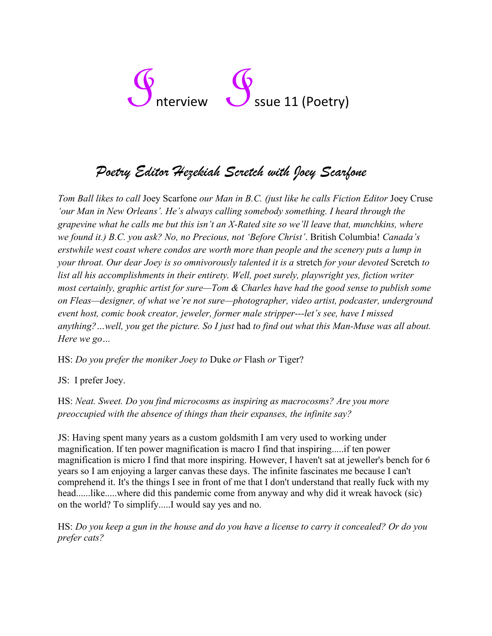# Interview **Interview** Ssue 11 (Poetry)

## *Poetry Editor Hezekiah Scretch with Joey Scarfone*

*Tom Ball likes to call* Joey Scarfone *our Man in B.C. (just like he calls Fiction Editor* Joey Cruse *'our Man in New Orleans'. He's always calling somebody something. I heard through the grapevine what he calls me but this isn't an X-Rated site so we'll leave that, munchkins, where we found it.) B.C. you ask? No, no Precious, not 'Before Christ'*. British Columbia! *Canada's erstwhile west coast where condos are worth more than people and the scenery puts a lump in your throat. Our dear Joey is so omnivorously talented it is a* stretch *for your devoted* Scretch *to list all his accomplishments in their entirety. Well, poet surely, playwright yes, fiction writer most certainly, graphic artist for sure—Tom & Charles have had the good sense to publish some on Fleas—designer, of what we're not sure—photographer, video artist, podcaster, underground event host, comic book creator, jeweler, former male stripper---let's see, have I missed anything?…well, you get the picture. So I just* had *to find out what this Man-Muse was all about. Here we go…*

HS: *Do you prefer the moniker Joey to* Duke *or* Flash *or* Tiger?

JS: I prefer Joey.

HS: *Neat. Sweet. Do you find microcosms as inspiring as macrocosms? Are you more preoccupied with the absence of things than their expanses, the infinite say?*

JS: Having spent many years as a custom goldsmith I am very used to working under magnification. If ten power magnification is macro I find that inspiring.....if ten power magnification is micro I find that more inspiring. However, I haven't sat at jeweller's bench for 6 years so I am enjoying a larger canvas these days. The infinite fascinates me because I can't comprehend it. It's the things I see in front of me that I don't understand that really fuck with my head......like.....where did this pandemic come from anyway and why did it wreak havock (sic) on the world? To simplify.....I would say yes and no.

HS: *Do you keep a gun in the house and do you have a license to carry it concealed? Or do you prefer cats?*